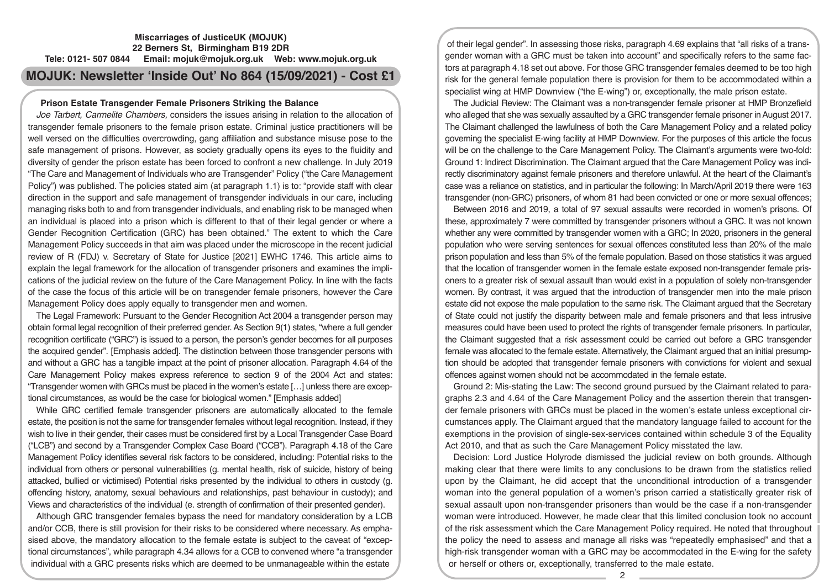# **Miscarriages of JusticeUK (MOJUK) 22 Berners St, Birmingham B19 2DR Tele: 0121- 507 0844 Email: mojuk@mojuk.org.uk Web: www.mojuk.org.uk**

# **MOJUK: Newsletter 'Inside Out' No 864 (15/09/2021) - Cost £1**

# **Prison Estate Transgender Female Prisoners Striking the Balance**

*Joe Tarbert, Carmelite Chambers,* considers the issues arising in relation to the allocation of transgender female prisoners to the female prison estate. Criminal justice practitioners will be well versed on the difficulties overcrowding, gang affiliation and substance misuse pose to the safe management of prisons. However, as society gradually opens its eyes to the fluidity and diversity of gender the prison estate has been forced to confront a new challenge. In July 2019 "The Care and Management of Individuals who are Transgender" Policy ("the Care Management Policy") was published. The policies stated aim (at paragraph 1.1) is to: "provide staff with clear direction in the support and safe management of transgender individuals in our care, including managing risks both to and from transgender individuals, and enabling risk to be managed when an individual is placed into a prison which is different to that of their legal gender or where a Gender Recognition Certification (GRC) has been obtained." The extent to which the Care Management Policy succeeds in that aim was placed under the microscope in the recent judicial review of R (FDJ) v. Secretary of State for Justice [2021] EWHC 1746. This article aims to explain the legal framework for the allocation of transgender prisoners and examines the implications of the judicial review on the future of the Care Management Policy. In line with the facts of the case the focus of this article will be on transgender female prisoners, however the Care Management Policy does apply equally to transgender men and women.

The Legal Framework: Pursuant to the Gender Recognition Act 2004 a transgender person may obtain formal legal recognition of their preferred gender. As Section 9(1) states, "where a full gender recognition certificate ("GRC") is issued to a person, the person's gender becomes for all purposes the acquired gender". [Emphasis added]. The distinction between those transgender persons with and without a GRC has a tangible impact at the point of prisoner allocation. Paragraph 4.64 of the Care Management Policy makes express reference to section 9 of the 2004 Act and states: "Transgender women with GRCs must be placed in the women's estate […] unless there are exceptional circumstances, as would be the case for biological women." [Emphasis added]

While GRC certified female transgender prisoners are automatically allocated to the female estate, the position is not the same for transgender females without legal recognition. Instead, if they wish to live in their gender, their cases must be considered first by a Local Transgender Case Board ("LCB") and second by a Transgender Complex Case Board ("CCB"). Paragraph 4.18 of the Care Management Policy identifies several risk factors to be considered, including: Potential risks to the individual from others or personal vulnerabilities (g. mental health, risk of suicide, history of being attacked, bullied or victimised) Potential risks presented by the individual to others in custody (g. offending history, anatomy, sexual behaviours and relationships, past behaviour in custody); and Views and characteristics of the individual (e. strength of confirmation of their presented gender).

Although GRC transgender females bypass the need for mandatory consideration by a LCB and/or CCB, there is still provision for their risks to be considered where necessary. As emphasised above, the mandatory allocation to the female estate is subject to the caveat of "exceptional circumstances", while paragraph 4.34 allows for a CCB to convened where "a transgender individual with a GRC presents risks which are deemed to be unmanageable within the estate

of their legal gender". In assessing those risks, paragraph 4.69 explains that "all risks of a transgender woman with a GRC must be taken into account" and specifically refers to the same factors at paragraph 4.18 set out above. For those GRC transgender females deemed to be too high risk for the general female population there is provision for them to be accommodated within a specialist wing at HMP Downview ("the E-wing") or, exceptionally, the male prison estate.

The Judicial Review: The Claimant was a non-transgender female prisoner at HMP Bronzefield who alleged that she was sexually assaulted by a GRC transgender female prisoner in August 2017. The Claimant challenged the lawfulness of both the Care Management Policy and a related policy governing the specialist E-wing facility at HMP Downview. For the purposes of this article the focus will be on the challenge to the Care Management Policy. The Claimant's arguments were two-fold: Ground 1: Indirect Discrimination. The Claimant argued that the Care Management Policy was indirectly discriminatory against female prisoners and therefore unlawful. At the heart of the Claimant's case was a reliance on statistics, and in particular the following: In March/April 2019 there were 163 transgender (non-GRC) prisoners, of whom 81 had been convicted or one or more sexual offences;

Between 2016 and 2019, a total of 97 sexual assaults were recorded in women's prisons. Of these, approximately 7 were committed by transgender prisoners without a GRC. It was not known whether any were committed by transgender women with a GRC; In 2020, prisoners in the general population who were serving sentences for sexual offences constituted less than 20% of the male prison population and less than 5% of the female population. Based on those statistics it was argued that the location of transgender women in the female estate exposed non-transgender female prisoners to a greater risk of sexual assault than would exist in a population of solely non-transgender women. By contrast, it was argued that the introduction of transgender men into the male prison estate did not expose the male population to the same risk. The Claimant argued that the Secretary of State could not justify the disparity between male and female prisoners and that less intrusive measures could have been used to protect the rights of transgender female prisoners. In particular, the Claimant suggested that a risk assessment could be carried out before a GRC transgender female was allocated to the female estate. Alternatively, the Claimant argued that an initial presumption should be adopted that transgender female prisoners with convictions for violent and sexual offences against women should not be accommodated in the female estate.

Ground 2: Mis-stating the Law: The second ground pursued by the Claimant related to paragraphs 2.3 and 4.64 of the Care Management Policy and the assertion therein that transgender female prisoners with GRCs must be placed in the women's estate unless exceptional circumstances apply. The Claimant argued that the mandatory language failed to account for the exemptions in the provision of single-sex-services contained within schedule 3 of the Equality Act 2010, and that as such the Care Management Policy misstated the law.

Decision: Lord Justice Holyrode dismissed the judicial review on both grounds. Although making clear that there were limits to any conclusions to be drawn from the statistics relied upon by the Claimant, he did accept that the unconditional introduction of a transgender woman into the general population of a women's prison carried a statistically greater risk of sexual assault upon non-transgender prisoners than would be the case if a non-transgender woman were introduced. However, he made clear that this limited conclusion took no account of the risk assessment which the Care Management Policy required. He noted that throughout the policy the need to assess and manage all risks was "repeatedly emphasised" and that a high-risk transgender woman with a GRC may be accommodated in the E-wing for the safety or herself or others or, exceptionally, transferred to the male estate.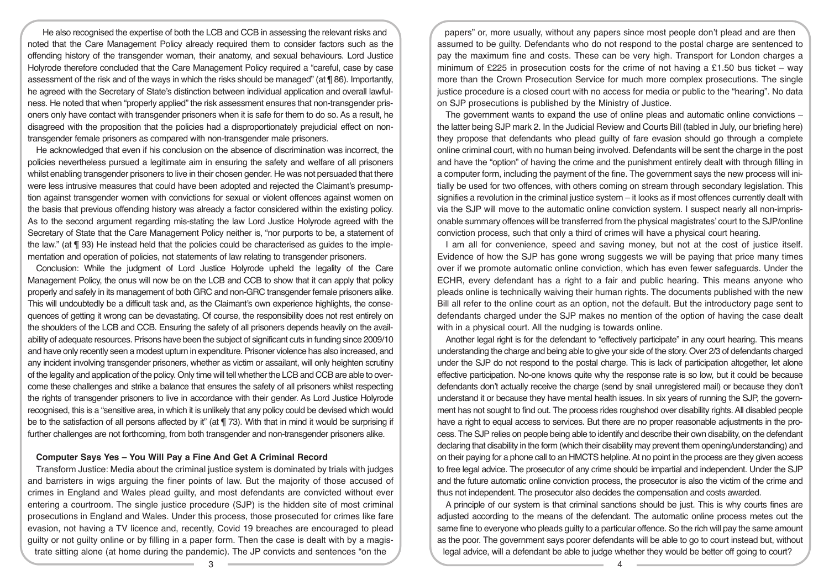He also recognised the expertise of both the LCB and CCB in assessing the relevant risks and noted that the Care Management Policy already required them to consider factors such as the offending history of the transgender woman, their anatomy, and sexual behaviours. Lord Justice Holyrode therefore concluded that the Care Management Policy required a "careful, case by case assessment of the risk and of the ways in which the risks should be managed" (at ¶ 86). Importantly, he agreed with the Secretary of State's distinction between individual application and overall lawfulness. He noted that when "properly applied" the risk assessment ensures that non-transgender prisoners only have contact with transgender prisoners when it is safe for them to do so. As a result, he disagreed with the proposition that the policies had a disproportionately prejudicial effect on nontransgender female prisoners as compared with non-transgender male prisoners.

He acknowledged that even if his conclusion on the absence of discrimination was incorrect, the policies nevertheless pursued a legitimate aim in ensuring the safety and welfare of all prisoners whilst enabling transgender prisoners to live in their chosen gender. He was not persuaded that there were less intrusive measures that could have been adopted and rejected the Claimant's presumption against transgender women with convictions for sexual or violent offences against women on the basis that previous offending history was already a factor considered within the existing policy. As to the second argument regarding mis-stating the law Lord Justice Holyrode agreed with the Secretary of State that the Care Management Policy neither is, "nor purports to be, a statement of the law." (at ¶ 93) He instead held that the policies could be characterised as guides to the implementation and operation of policies, not statements of law relating to transgender prisoners.

Conclusion: While the judgment of Lord Justice Holyrode upheld the legality of the Care Management Policy, the onus will now be on the LCB and CCB to show that it can apply that policy properly and safely in its management of both GRC and non-GRC transgender female prisoners alike. This will undoubtedly be a difficult task and, as the Claimant's own experience highlights, the consequences of getting it wrong can be devastating. Of course, the responsibility does not rest entirely on the shoulders of the LCB and CCB. Ensuring the safety of all prisoners depends heavily on the availability of adequate resources. Prisons have been the subject of significant cuts in funding since 2009/10 and have only recently seen a modest upturn in expenditure. Prisoner violence has also increased, and any incident involving transgender prisoners, whether as victim or assailant, will only heighten scrutiny of the legality and application of the policy. Only time will tell whether the LCB and CCB are able to overcome these challenges and strike a balance that ensures the safety of all prisoners whilst respecting the rights of transgender prisoners to live in accordance with their gender. As Lord Justice Holyrode recognised, this is a "sensitive area, in which it is unlikely that any policy could be devised which would be to the satisfaction of all persons affected by it" (at  $\P$  73). With that in mind it would be surprising if further challenges are not forthcoming, from both transgender and non-transgender prisoners alike.

#### **Computer Says Yes – You Will Pay a Fine And Get A Criminal Record**

Transform Justice: Media about the criminal justice system is dominated by trials with judges and barristers in wigs arguing the finer points of law. But the majority of those accused of crimes in England and Wales plead guilty, and most defendants are convicted without ever entering a courtroom. The single justice procedure (SJP) is the hidden site of most criminal prosecutions in England and Wales. Under this process, those prosecuted for crimes like fare evasion, not having a TV licence and, recently, Covid 19 breaches are encouraged to plead guilty or not guilty online or by filling in a paper form. Then the case is dealt with by a magistrate sitting alone (at home during the pandemic). The JP convicts and sentences "on the

papers" or, more usually, without any papers since most people don't plead and are then assumed to be guilty. Defendants who do not respond to the postal charge are sentenced to pay the maximum fine and costs. These can be very high. Transport for London charges a minimum of £225 in prosecution costs for the crime of not having a £1.50 bus ticket – way more than the Crown Prosecution Service for much more complex prosecutions. The single justice procedure is a closed court with no access for media or public to the "hearing". No data on SJP prosecutions is published by the Ministry of Justice.

The government wants to expand the use of online pleas and automatic online convictions – the latter being SJP mark 2. In the Judicial Review and Courts Bill (tabled in July, our briefing here) they propose that defendants who plead guilty of fare evasion should go through a complete online criminal court, with no human being involved. Defendants will be sent the charge in the post and have the "option" of having the crime and the punishment entirely dealt with through filling in a computer form, including the payment of the fine. The government says the new process will initially be used for two offences, with others coming on stream through secondary legislation. This signifies a revolution in the criminal justice system – it looks as if most offences currently dealt with via the SJP will move to the automatic online conviction system. I suspect nearly all non-imprisonable summary offences will be transferred from the physical magistrates' court to the SJP/online conviction process, such that only a third of crimes will have a physical court hearing.

I am all for convenience, speed and saving money, but not at the cost of justice itself. Evidence of how the SJP has gone wrong suggests we will be paying that price many times over if we promote automatic online conviction, which has even fewer safeguards. Under the ECHR, every defendant has a right to a fair and public hearing. This means anyone who pleads online is technically waiving their human rights. The documents published with the new Bill all refer to the online court as an option, not the default. But the introductory page sent to defendants charged under the SJP makes no mention of the option of having the case dealt with in a physical court. All the nudging is towards online.

Another legal right is for the defendant to "effectively participate" in any court hearing. This means understanding the charge and being able to give your side of the story. Over 2/3 of defendants charged under the SJP do not respond to the postal charge. This is lack of participation altogether, let alone effective participation. No-one knows quite why the response rate is so low, but it could be because defendants don't actually receive the charge (send by snail unregistered mail) or because they don't understand it or because they have mental health issues. In six years of running the SJP, the government has not sought to find out. The process rides roughshod over disability rights. All disabled people have a right to equal access to services. But there are no proper reasonable adjustments in the process. The SJP relies on people being able to identify and describe their own disability, on the defendant declaring that disability in the form (which their disability may prevent them opening/understanding) and on their paying for a phone call to an HMCTS helpline. At no point in the process are they given access to free legal advice. The prosecutor of any crime should be impartial and independent. Under the SJP and the future automatic online conviction process, the prosecutor is also the victim of the crime and thus not independent. The prosecutor also decides the compensation and costs awarded.

A principle of our system is that criminal sanctions should be just. This is why courts fines are adjusted according to the means of the defendant. The automatic online process metes out the same fine to everyone who pleads guilty to a particular offence. So the rich will pay the same amount as the poor. The government says poorer defendants will be able to go to court instead but, without legal advice, will a defendant be able to judge whether they would be better off going to court?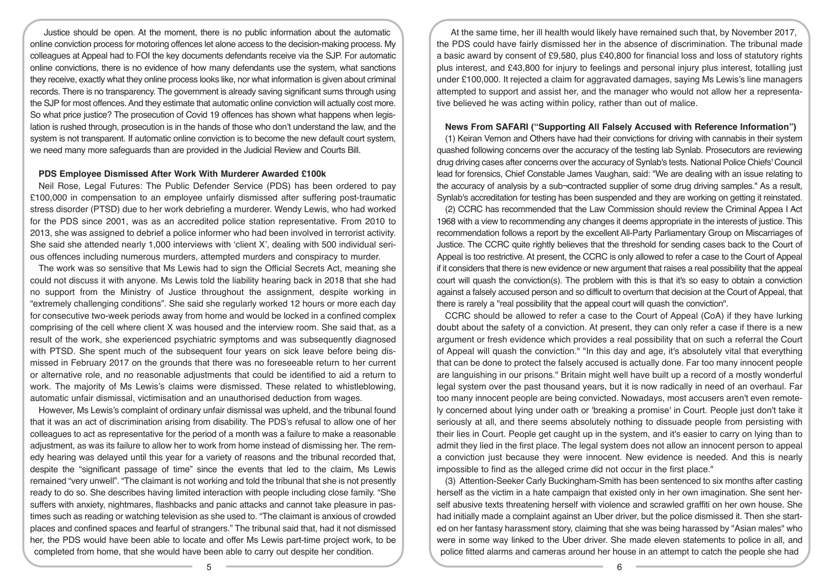Justice should be open. At the moment, there is no public information about the automatic online conviction process for motoring offences let alone access to the decision-making process. My colleagues at Appeal had to FOI the key documents defendants receive via the SJP. For automatic online convictions, there is no evidence of how many defendants use the system, what sanctions they receive, exactly what they online process looks like, nor what information is given about criminal records. There is no transparency. The government is already saving significant sums through using the SJP for most offences. And they estimate that automatic online conviction will actually cost more. So what price justice? The prosecution of Covid 19 offences has shown what happens when legislation is rushed through, prosecution is in the hands of those who don't understand the law, and the system is not transparent. If automatic online conviction is to become the new default court system, we need many more safeguards than are provided in the Judicial Review and Courts Bill.

# **PDS Employee Dismissed After Work With Murderer Awarded £100k**

Neil Rose, Legal Futures: The Public Defender Service (PDS) has been ordered to pay £100,000 in compensation to an employee unfairly dismissed after suffering post-traumatic stress disorder (PTSD) due to her work debriefing a murderer. Wendy Lewis, who had worked for the PDS since 2001, was as an accredited police station representative. From 2010 to 2013, she was assigned to debrief a police informer who had been involved in terrorist activity. She said she attended nearly 1,000 interviews with 'client X', dealing with 500 individual serious offences including numerous murders, attempted murders and conspiracy to murder.

The work was so sensitive that Ms Lewis had to sign the Official Secrets Act, meaning she could not discuss it with anyone. Ms Lewis told the liability hearing back in 2018 that she had no support from the Ministry of Justice throughout the assignment, despite working in "extremely challenging conditions". She said she regularly worked 12 hours or more each day for consecutive two-week periods away from home and would be locked in a confined complex comprising of the cell where client X was housed and the interview room. She said that, as a result of the work, she experienced psychiatric symptoms and was subsequently diagnosed with PTSD. She spent much of the subsequent four years on sick leave before being dismissed in February 2017 on the grounds that there was no foreseeable return to her current or alternative role, and no reasonable adjustments that could be identified to aid a return to work. The majority of Ms Lewis's claims were dismissed. These related to whistleblowing, automatic unfair dismissal, victimisation and an unauthorised deduction from wages.

However, Ms Lewis's complaint of ordinary unfair dismissal was upheld, and the tribunal found that it was an act of discrimination arising from disability. The PDS's refusal to allow one of her colleagues to act as representative for the period of a month was a failure to make a reasonable adjustment, as was its failure to allow her to work from home instead of dismissing her. The remedy hearing was delayed until this year for a variety of reasons and the tribunal recorded that, despite the "significant passage of time" since the events that led to the claim, Ms Lewis remained "very unwell". "The claimant is not working and told the tribunal that she is not presently ready to do so. She describes having limited interaction with people including close family. "She suffers with anxiety, nightmares, flashbacks and panic attacks and cannot take pleasure in pastimes such as reading or watching television as she used to. "The claimant is anxious of crowded places and confined spaces and fearful of strangers." The tribunal said that, had it not dismissed her, the PDS would have been able to locate and offer Ms Lewis part-time project work, to be completed from home, that she would have been able to carry out despite her condition.

At the same time, her ill health would likely have remained such that, by November 2017, the PDS could have fairly dismissed her in the absence of discrimination. The tribunal made a basic award by consent of £9,580, plus £40,800 for financial loss and loss of statutory rights plus interest, and £43,800 for injury to feelings and personal injury plus interest, totalling just under £100,000. It rejected a claim for aggravated damages, saying Ms Lewis's line managers attempted to support and assist her, and the manager who would not allow her a representative believed he was acting within policy, rather than out of malice.

# **News From SAFARI ("Supporting All Falsely Accused with Reference Information")**

(1) Keiran Vernon and Others have had their convictions for driving with cannabis in their system quashed following concerns over the accuracy of the testing lab Synlab. Prosecutors are reviewing drug driving cases after concerns over the accuracy of Synlab's tests. National Police Chiefs' Council lead for forensics, Chief Constable James Vaughan, said: "We are dealing with an issue relating to the accuracy of analysis by a sub¬contracted supplier of some drug driving samples." As a result, Synlab's accreditation for testing has been suspended and they are working on getting it reinstated.

(2) CCRC has recommended that the Law Commission should review the Criminal Appea I Act 1968 with a view to recommending any changes it deems appropriate in the interests of justice. This recommendation follows a report by the excellent All-Party Parliamentary Group on Miscarriages of Justice. The CCRC quite rightly believes that the threshold for sending cases back to the Court of Appeal is too restrictive. At present, the CCRC is only allowed to refer a case to the Court of Appeal if it considers that there is new evidence or new argument that raises a real possibility that the appeal court will quash the conviction(s). The problem with this is that it's so easy to obtain a conviction against a falsely accused person and so difficult to overturn that decision at the Court of Appeal, that there is rarely a "real possibility that the appeal court will quash the conviction".

CCRC should be allowed to refer a case to the Court of Appeal (CoA) if they have lurking doubt about the safety of a conviction. At present, they can only refer a case if there is a new argument or fresh evidence which provides a real possibility that on such a referral the Court of Appeal will quash the conviction." "In this day and age, it's absolutely vital that everything that can be done to protect the falsely accused is actually done. Far too many innocent people are languishing in our prisons." Britain might well have built up a record of a mostly wonderful legal system over the past thousand years, but it is now radically in need of an overhaul. Far too many innocent people are being convicted. Nowadays, most accusers aren't even remotely concerned about lying under oath or 'breaking a promise' in Court. People just don't take it seriously at all, and there seems absolutely nothing to dissuade people from persisting with their lies in Court. People get caught up in the system, and it's easier to carry on lying than to admit they lied in the first place. The legal system does not allow an innocent person to appeal a conviction just because they were innocent. New evidence is needed. And this is nearly impossible to find as the alleged crime did not occur in the first place."

(3) Attention-Seeker Carly Buckingham-Smith has been sentenced to six months after casting herself as the victim in a hate campaign that existed only in her own imagination. She sent herself abusive texts threatening herself with violence and scrawled graffiti on her own house. She had initially made a complaint against an Uber driver, but the police dismissed it. Then she started on her fantasy harassment story, claiming that she was being harassed by "Asian males" who were in some way linked to the Uber driver. She made eleven statements to police in all, and police fitted alarms and cameras around her house in an attempt to catch the people she had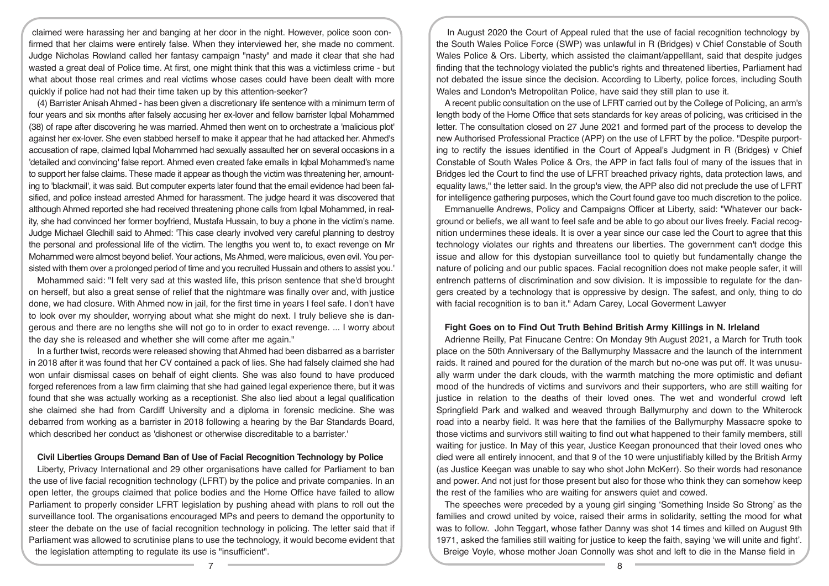claimed were harassing her and banging at her door in the night. However, police soon confirmed that her claims were entirely false. When they interviewed her, she made no comment. Judge Nicholas Rowland called her fantasy campaign "nasty" and made it clear that she had wasted a great deal of Police time. At first, one might think that this was a victimless crime - but what about those real crimes and real victims whose cases could have been dealt with more quickly if police had not had their time taken up by this attention-seeker?

(4) Barrister Anisah Ahmed - has been given a discretionary life sentence with a minimum term of four years and six months after falsely accusing her ex-lover and fellow barrister Iqbal Mohammed (38) of rape after discovering he was married. Ahmed then went on to orchestrate a 'malicious plot' against her ex-lover. She even stabbed herself to make it appear that he had attacked her. Ahmed's accusation of rape, claimed Iqbal Mohammed had sexually assaulted her on several occasions in a 'detailed and convincing' false report. Ahmed even created fake emails in Iqbal Mohammed's name to support her false claims. These made it appear as though the victim was threatening her, amounting to 'blackmail', it was said. But computer experts later found that the email evidence had been falsified, and police instead arrested Ahmed for harassment. The judge heard it was discovered that although Ahmed reported she had received threatening phone calls from Iqbal Mohammed, in reality, she had convinced her former boyfriend, Mustafa Hussain, to buy a phone in the victim's name. Judge Michael Gledhill said to Ahmed: 'This case clearly involved very careful planning to destroy the personal and professional life of the victim. The lengths you went to, to exact revenge on Mr Mohammed were almost beyond belief. Your actions, Ms Ahmed, were malicious, even evil. You persisted with them over a prolonged period of time and you recruited Hussain and others to assist you.'

Mohammed said: "I felt very sad at this wasted life, this prison sentence that she'd brought on herself, but also a great sense of relief that the nightmare was finally over and, with justice done, we had closure. With Ahmed now in jail, for the first time in years I feel safe. I don't have to look over my shoulder, worrying about what she might do next. I truly believe she is dangerous and there are no lengths she will not go to in order to exact revenge. ... I worry about the day she is released and whether she will come after me again."

In a further twist, records were released showing that Ahmed had been disbarred as a barrister in 2018 after it was found that her CV contained a pack of lies. She had falsely claimed she had won unfair dismissal cases on behalf of eight clients. She was also found to have produced forged references from a law firm claiming that she had gained legal experience there, but it was found that she was actually working as a receptionist. She also lied about a legal qualification she claimed she had from Cardiff University and a diploma in forensic medicine. She was debarred from working as a barrister in 2018 following a hearing by the Bar Standards Board, which described her conduct as 'dishonest or otherwise discreditable to a barrister.'

#### **Civil Liberties Groups Demand Ban of Use of Facial Recognition Technology by Police**

Liberty, Privacy International and 29 other organisations have called for Parliament to ban the use of live facial recognition technology (LFRT) by the police and private companies. In an open letter, the groups claimed that police bodies and the Home Office have failed to allow Parliament to properly consider LFRT legislation by pushing ahead with plans to roll out the surveillance tool. The organisations encouraged MPs and peers to demand the opportunity to steer the debate on the use of facial recognition technology in policing. The letter said that if Parliament was allowed to scrutinise plans to use the technology, it would become evident that the legislation attempting to regulate its use is "insufficient".

In August 2020 the Court of Appeal ruled that the use of facial recognition technology by the South Wales Police Force (SWP) was unlawful in R (Bridges) v Chief Constable of South Wales Police & Ors. Liberty, which assisted the claimant/appelllant, said that despite judges finding that the technology violated the public's rights and threatened liberties, Parliament had not debated the issue since the decision. According to Liberty, police forces, including South Wales and London's Metropolitan Police, have said they still plan to use it.

A recent public consultation on the use of LFRT carried out by the College of Policing, an arm's length body of the Home Office that sets standards for key areas of policing, was criticised in the letter. The consultation closed on 27 June 2021 and formed part of the process to develop the new Authorised Professional Practice (APP) on the use of LFRT by the police. "Despite purporting to rectify the issues identified in the Court of Appeal's Judgment in R (Bridges) v Chief Constable of South Wales Police & Ors, the APP in fact falls foul of many of the issues that in Bridges led the Court to find the use of LFRT breached privacy rights, data protection laws, and equality laws," the letter said. In the group's view, the APP also did not preclude the use of LFRT for intelligence gathering purposes, which the Court found gave too much discretion to the police.

Emmanuelle Andrews, Policy and Campaigns Officer at Liberty, said: "Whatever our background or beliefs, we all want to feel safe and be able to go about our lives freely. Facial recognition undermines these ideals. It is over a year since our case led the Court to agree that this technology violates our rights and threatens our liberties. The government can't dodge this issue and allow for this dystopian surveillance tool to quietly but fundamentally change the nature of policing and our public spaces. Facial recognition does not make people safer, it will entrench patterns of discrimination and sow division. It is impossible to regulate for the dangers created by a technology that is oppressive by design. The safest, and only, thing to do with facial recognition is to ban it." Adam Carey, Local Goverment Lawyer

# **Fight Goes on to Find Out Truth Behind British Army Killings in N. Irleland**

Adrienne Reilly, Pat Finucane Centre: On Monday 9th August 2021, a March for Truth took place on the 50th Anniversary of the Ballymurphy Massacre and the launch of the internment raids. It rained and poured for the duration of the march but no-one was put off. It was unusually warm under the dark clouds, with the warmth matching the more optimistic and defiant mood of the hundreds of victims and survivors and their supporters, who are still waiting for justice in relation to the deaths of their loved ones. The wet and wonderful crowd left Springfield Park and walked and weaved through Ballymurphy and down to the Whiterock road into a nearby field. It was here that the families of the Ballymurphy Massacre spoke to those victims and survivors still waiting to find out what happened to their family members, still waiting for justice. In May of this year, Justice Keegan pronounced that their loved ones who died were all entirely innocent, and that 9 of the 10 were unjustifiably killed by the British Army (as Justice Keegan was unable to say who shot John McKerr). So their words had resonance and power. And not just for those present but also for those who think they can somehow keep the rest of the families who are waiting for answers quiet and cowed.

The speeches were preceded by a young girl singing 'Something Inside So Strong' as the families and crowd united by voice, raised their arms in solidarity, setting the mood for what was to follow. John Teggart, whose father Danny was shot 14 times and killed on August 9th 1971, asked the families still waiting for justice to keep the faith, saying 'we will unite and fight'. Breige Voyle, whose mother Joan Connolly was shot and left to die in the Manse field in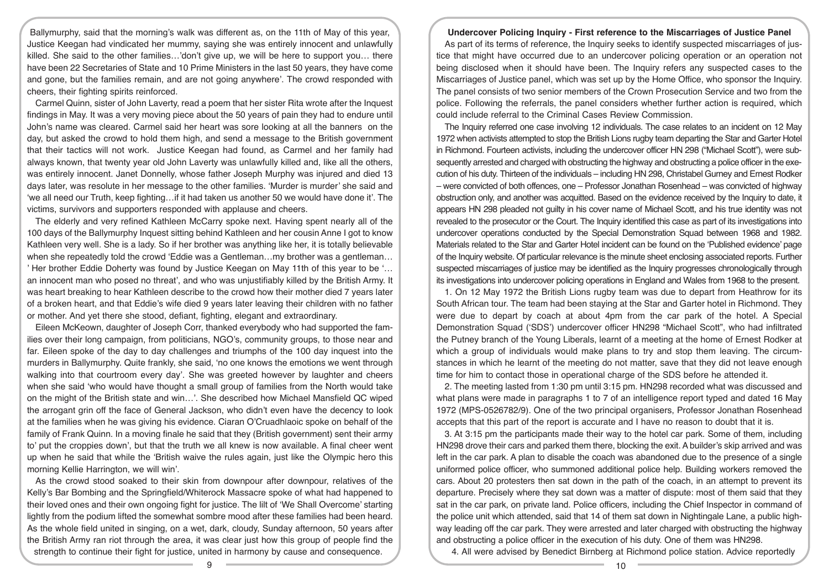Ballymurphy, said that the morning's walk was different as, on the 11th of May of this year, Justice Keegan had vindicated her mummy, saying she was entirely innocent and unlawfully killed. She said to the other families…'don't give up, we will be here to support you… there have been 22 Secretaries of State and 10 Prime Ministers in the last 50 years, they have come and gone, but the families remain, and are not going anywhere'. The crowd responded with cheers, their fighting spirits reinforced.

Carmel Quinn, sister of John Laverty, read a poem that her sister Rita wrote after the Inquest findings in May. It was a very moving piece about the 50 years of pain they had to endure until John's name was cleared. Carmel said her heart was sore looking at all the banners on the day, but asked the crowd to hold them high, and send a message to the British government that their tactics will not work. Justice Keegan had found, as Carmel and her family had always known, that twenty year old John Laverty was unlawfully killed and, like all the others, was entirely innocent. Janet Donnelly, whose father Joseph Murphy was injured and died 13 days later, was resolute in her message to the other families. 'Murder is murder' she said and 'we all need our Truth, keep fighting…if it had taken us another 50 we would have done it'. The victims, survivors and supporters responded with applause and cheers.

The elderly and very refined Kathleen McCarry spoke next. Having spent nearly all of the 100 days of the Ballymurphy Inquest sitting behind Kathleen and her cousin Anne I got to know Kathleen very well. She is a lady. So if her brother was anything like her, it is totally believable when she repeatedly told the crowd 'Eddie was a Gentleman…my brother was a gentleman… ' Her brother Eddie Doherty was found by Justice Keegan on May 11th of this year to be '… an innocent man who posed no threat', and who was unjustifiably killed by the British Army. It was heart breaking to hear Kathleen describe to the crowd how their mother died 7 years later of a broken heart, and that Eddie's wife died 9 years later leaving their children with no father or mother. And yet there she stood, defiant, fighting, elegant and extraordinary.

Eileen McKeown, daughter of Joseph Corr, thanked everybody who had supported the families over their long campaign, from politicians, NGO's, community groups, to those near and far. Eileen spoke of the day to day challenges and triumphs of the 100 day inquest into the murders in Ballymurphy. Quite frankly, she said, 'no one knows the emotions we went through walking into that courtroom every day'. She was greeted however by laughter and cheers when she said 'who would have thought a small group of families from the North would take on the might of the British state and win…'. She described how Michael Mansfield QC wiped the arrogant grin off the face of General Jackson, who didn't even have the decency to look at the families when he was giving his evidence. Ciaran O'Cruadhlaoic spoke on behalf of the family of Frank Quinn. In a moving finale he said that they (British government) sent their army to' put the croppies down', but that the truth we all knew is now available. A final cheer went up when he said that while the 'British waive the rules again, just like the Olympic hero this morning Kellie Harrington, we will win'.

As the crowd stood soaked to their skin from downpour after downpour, relatives of the Kelly's Bar Bombing and the Springfield/Whiterock Massacre spoke of what had happened to their loved ones and their own ongoing fight for justice. The lilt of 'We Shall Overcome' starting lightly from the podium lifted the somewhat sombre mood after these families had been heard. As the whole field united in singing, on a wet, dark, cloudy, Sunday afternoon, 50 years after the British Army ran riot through the area, it was clear just how this group of people find the strength to continue their fight for justice, united in harmony by cause and consequence.

#### **Undercover Policing Inquiry - First reference to the Miscarriages of Justice Panel**

As part of its terms of reference, the Inquiry seeks to identify suspected miscarriages of justice that might have occurred due to an undercover policing operation or an operation not being disclosed when it should have been. The Inquiry refers any suspected cases to the Miscarriages of Justice panel, which was set up by the Home Office, who sponsor the Inquiry. The panel consists of two senior members of the Crown Prosecution Service and two from the police. Following the referrals, the panel considers whether further action is required, which could include referral to the Criminal Cases Review Commission.

The Inquiry referred one case involving 12 individuals. The case relates to an incident on 12 May 1972 when activists attempted to stop the British Lions rugby team departing the Star and Garter Hotel in Richmond. Fourteen activists, including the undercover officer HN 298 ("Michael Scott"), were subsequently arrested and charged with obstructing the highway and obstructing a police officer in the execution of his duty. Thirteen of the individuals – including HN 298, Christabel Gurney and Ernest Rodker – were convicted of both offences, one – Professor Jonathan Rosenhead – was convicted of highway obstruction only, and another was acquitted. Based on the evidence received by the Inquiry to date, it appears HN 298 pleaded not guilty in his cover name of Michael Scott, and his true identity was not revealed to the prosecutor or the Court. The Inquiry identified this case as part of its investigations into undercover operations conducted by the Special Demonstration Squad between 1968 and 1982. Materials related to the Star and Garter Hotel incident can be found on the 'Published evidence' page of the Inquiry website. Of particular relevance is the minute sheet enclosing associated reports. Further suspected miscarriages of justice may be identified as the Inquiry progresses chronologically through its investigations into undercover policing operations in England and Wales from 1968 to the present.

1. On 12 May 1972 the British Lions rugby team was due to depart from Heathrow for its South African tour. The team had been staying at the Star and Garter hotel in Richmond. They were due to depart by coach at about 4pm from the car park of the hotel. A Special Demonstration Squad ('SDS') undercover officer HN298 "Michael Scott", who had infiltrated the Putney branch of the Young Liberals, learnt of a meeting at the home of Ernest Rodker at which a group of individuals would make plans to try and stop them leaving. The circumstances in which he learnt of the meeting do not matter, save that they did not leave enough time for him to contact those in operational charge of the SDS before he attended it.

2. The meeting lasted from 1:30 pm until 3:15 pm. HN298 recorded what was discussed and what plans were made in paragraphs 1 to 7 of an intelligence report typed and dated 16 May 1972 (MPS-0526782/9). One of the two principal organisers, Professor Jonathan Rosenhead accepts that this part of the report is accurate and I have no reason to doubt that it is.

3. At 3:15 pm the participants made their way to the hotel car park. Some of them, including HN298 drove their cars and parked them there, blocking the exit. A builder's skip arrived and was left in the car park. A plan to disable the coach was abandoned due to the presence of a single uniformed police officer, who summoned additional police help. Building workers removed the cars. About 20 protesters then sat down in the path of the coach, in an attempt to prevent its departure. Precisely where they sat down was a matter of dispute: most of them said that they sat in the car park, on private land. Police officers, including the Chief Inspector in command of the police unit which attended, said that 14 of them sat down in Nightingale Lane, a public highway leading off the car park. They were arrested and later charged with obstructing the highway and obstructing a police officer in the execution of his duty. One of them was HN298.

4. All were advised by Benedict Birnberg at Richmond police station. Advice reportedly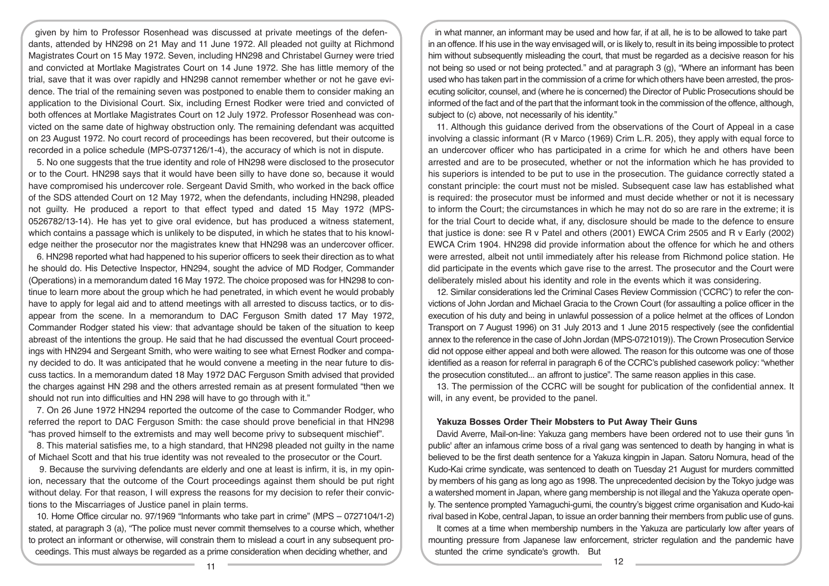given by him to Professor Rosenhead was discussed at private meetings of the defendants, attended by HN298 on 21 May and 11 June 1972. All pleaded not guilty at Richmond Magistrates Court on 15 May 1972. Seven, including HN298 and Christabel Gurney were tried and convicted at Mortlake Magistrates Court on 14 June 1972. She has little memory of the trial, save that it was over rapidly and HN298 cannot remember whether or not he gave evidence. The trial of the remaining seven was postponed to enable them to consider making an application to the Divisional Court. Six, including Ernest Rodker were tried and convicted of both offences at Mortlake Magistrates Court on 12 July 1972. Professor Rosenhead was convicted on the same date of highway obstruction only. The remaining defendant was acquitted on 23 August 1972. No court record of proceedings has been recovered, but their outcome is recorded in a police schedule (MPS-0737126/1-4), the accuracy of which is not in dispute.

5. No one suggests that the true identity and role of HN298 were disclosed to the prosecutor or to the Court. HN298 says that it would have been silly to have done so, because it would have compromised his undercover role. Sergeant David Smith, who worked in the back office of the SDS attended Court on 12 May 1972, when the defendants, including HN298, pleaded not guilty. He produced a report to that effect typed and dated 15 May 1972 (MPS-0526782/13-14). He has yet to give oral evidence, but has produced a witness statement, which contains a passage which is unlikely to be disputed, in which he states that to his knowledge neither the prosecutor nor the magistrates knew that HN298 was an undercover officer.

6. HN298 reported what had happened to his superior officers to seek their direction as to what he should do. His Detective Inspector, HN294, sought the advice of MD Rodger, Commander (Operations) in a memorandum dated 16 May 1972. The choice proposed was for HN298 to continue to learn more about the group which he had penetrated, in which event he would probably have to apply for legal aid and to attend meetings with all arrested to discuss tactics, or to disappear from the scene. In a memorandum to DAC Ferguson Smith dated 17 May 1972, Commander Rodger stated his view: that advantage should be taken of the situation to keep abreast of the intentions the group. He said that he had discussed the eventual Court proceedings with HN294 and Sergeant Smith, who were waiting to see what Ernest Rodker and company decided to do. It was anticipated that he would convene a meeting in the near future to discuss tactics. In a memorandum dated 18 May 1972 DAC Ferguson Smith advised that provided the charges against HN 298 and the others arrested remain as at present formulated "then we should not run into difficulties and HN 298 will have to go through with it."

7. On 26 June 1972 HN294 reported the outcome of the case to Commander Rodger, who referred the report to DAC Ferguson Smith: the case should prove beneficial in that HN298 "has proved himself to the extremists and may well become privy to subsequent mischief".

8. This material satisfies me, to a high standard, that HN298 pleaded not guilty in the name of Michael Scott and that his true identity was not revealed to the prosecutor or the Court.

 9. Because the surviving defendants are elderly and one at least is infirm, it is, in my opinion, necessary that the outcome of the Court proceedings against them should be put right without delay. For that reason, I will express the reasons for my decision to refer their convictions to the Miscarriages of Justice panel in plain terms.

10. Home Office circular no. 97/1969 "Informants who take part in crime" (MPS – 0727104/1-2) stated, at paragraph 3 (a), "The police must never commit themselves to a course which, whether to protect an informant or otherwise, will constrain them to mislead a court in any subsequent proceedings. This must always be regarded as a prime consideration when deciding whether, and

in what manner, an informant may be used and how far, if at all, he is to be allowed to take part in an offence. If his use in the way envisaged will, or is likely to, result in its being impossible to protect him without subsequently misleading the court, that must be regarded as a decisive reason for his not being so used or not being protected." and at paragraph 3 (g), "Where an informant has been used who has taken part in the commission of a crime for which others have been arrested, the prosecuting solicitor, counsel, and (where he is concerned) the Director of Public Prosecutions should be informed of the fact and of the part that the informant took in the commission of the offence, although, subject to (c) above, not necessarily of his identity."

11. Although this guidance derived from the observations of the Court of Appeal in a case involving a classic informant (R v Marco (1969) Crim L.R. 205), they apply with equal force to an undercover officer who has participated in a crime for which he and others have been arrested and are to be prosecuted, whether or not the information which he has provided to his superiors is intended to be put to use in the prosecution. The guidance correctly stated a constant principle: the court must not be misled. Subsequent case law has established what is required: the prosecutor must be informed and must decide whether or not it is necessary to inform the Court; the circumstances in which he may not do so are rare in the extreme; it is for the trial Court to decide what, if any, disclosure should be made to the defence to ensure that justice is done: see R v Patel and others (2001) EWCA Crim 2505 and R v Early (2002) EWCA Crim 1904. HN298 did provide information about the offence for which he and others were arrested, albeit not until immediately after his release from Richmond police station. He did participate in the events which gave rise to the arrest. The prosecutor and the Court were deliberately misled about his identity and role in the events which it was considering.

12. Similar considerations led the Criminal Cases Review Commission ('CCRC') to refer the convictions of John Jordan and Michael Gracia to the Crown Court (for assaulting a police officer in the execution of his duty and being in unlawful possession of a police helmet at the offices of London Transport on 7 August 1996) on 31 July 2013 and 1 June 2015 respectively (see the confidential annex to the reference in the case of John Jordan (MPS-0721019)). The Crown Prosecution Service did not oppose either appeal and both were allowed. The reason for this outcome was one of those identified as a reason for referral in paragraph 6 of the CCRC's published casework policy: "whether the prosecution constituted... an affront to justice". The same reason applies in this case.

13. The permission of the CCRC will be sought for publication of the confidential annex. It will, in any event, be provided to the panel.

## **Yakuza Bosses Order Their Mobsters to Put Away Their Guns**

David Averre, Mail-on-line: Yakuza gang members have been ordered not to use their guns 'in public' after an infamous crime boss of a rival gang was sentenced to death by hanging in what is believed to be the first death sentence for a Yakuza kingpin in Japan. Satoru Nomura, head of the Kudo-Kai crime syndicate, was sentenced to death on Tuesday 21 August for murders committed by members of his gang as long ago as 1998. The unprecedented decision by the Tokyo judge was a watershed moment in Japan, where gang membership is not illegal and the Yakuza operate openly. The sentence prompted Yamaguchi-gumi, the country's biggest crime organisation and Kudo-kai rival based in Kobe, central Japan, to issue an order banning their members from public use of guns.

It comes at a time when membership numbers in the Yakuza are particularly low after years of mounting pressure from Japanese law enforcement, stricter regulation and the pandemic have stunted the crime syndicate's growth. But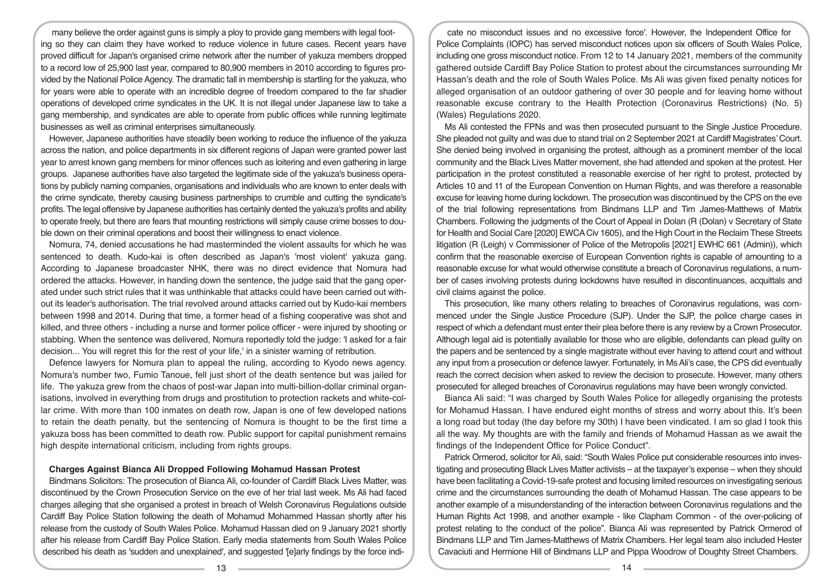many believe the order against guns is simply a ploy to provide gang members with legal footing so they can claim they have worked to reduce violence in future cases. Recent years have proved difficult for Japan's organised crime network after the number of yakuza members dropped to a record low of 25,900 last year, compared to 80,900 members in 2010 according to figures provided by the National Police Agency. The dramatic fall in membership is startling for the yakuza, who for years were able to operate with an incredible degree of freedom compared to the far shadier operations of developed crime syndicates in the UK. It is not illegal under Japanese law to take a gang membership, and syndicates are able to operate from public offices while running legitimate businesses as well as criminal enterprises simultaneously.

However, Japanese authorities have steadily been working to reduce the influence of the yakuza across the nation, and police departments in six different regions of Japan were granted power last year to arrest known gang members for minor offences such as loitering and even gathering in large groups. Japanese authorities have also targeted the legitimate side of the yakuza's business operations by publicly naming companies, organisations and individuals who are known to enter deals with the crime syndicate, thereby causing business partnerships to crumble and cutting the syndicate's profits. The legal offensive by Japanese authorities has certainly dented the yakuza's profits and ability to operate freely, but there are fears that mounting restrictions will simply cause crime bosses to double down on their criminal operations and boost their willingness to enact violence.

Nomura, 74, denied accusations he had masterminded the violent assaults for which he was sentenced to death. Kudo-kai is often described as Japan's 'most violent' yakuza gang. According to Japanese broadcaster NHK, there was no direct evidence that Nomura had ordered the attacks. However, in handing down the sentence, the judge said that the gang operated under such strict rules that it was unthinkable that attacks could have been carried out without its leader's authorisation. The trial revolved around attacks carried out by Kudo-kai members between 1998 and 2014. During that time, a former head of a fishing cooperative was shot and killed, and three others - including a nurse and former police officer - were injured by shooting or stabbing. When the sentence was delivered, Nomura reportedly told the judge: 'I asked for a fair decision... You will regret this for the rest of your life,' in a sinister warning of retribution.

Defence lawyers for Nomura plan to appeal the ruling, according to Kyodo news agency. Nomura's number two, Fumio Tanoue, fell just short of the death sentence but was jailed for life. The yakuza grew from the chaos of post-war Japan into multi-billion-dollar criminal organisations, involved in everything from drugs and prostitution to protection rackets and white-collar crime. With more than 100 inmates on death row, Japan is one of few developed nations to retain the death penalty, but the sentencing of Nomura is thought to be the first time a yakuza boss has been committed to death row. Public support for capital punishment remains high despite international criticism, including from rights groups.

#### **Charges Against Bianca Ali Dropped Following Mohamud Hassan Protest**

Bindmans Solicitors: The prosecution of Bianca Ali, co-founder of Cardiff Black Lives Matter, was discontinued by the Crown Prosecution Service on the eve of her trial last week. Ms Ali had faced charges alleging that she organised a protest in breach of Welsh Coronavirus Regulations outside Cardiff Bay Police Station following the death of Mohamud Mohammed Hassan shortly after his release from the custody of South Wales Police. Mohamud Hassan died on 9 January 2021 shortly after his release from Cardiff Bay Police Station. Early media statements from South Wales Police described his death as 'sudden and unexplained', and suggested '[e]arly findings by the force indi-

cate no misconduct issues and no excessive force'. However, the Independent Office for Police Complaints (IOPC) has served misconduct notices upon six officers of South Wales Police, including one gross misconduct notice. From 12 to 14 January 2021, members of the community gathered outside Cardiff Bay Police Station to protest about the circumstances surrounding Mr Hassan's death and the role of South Wales Police. Ms Ali was given fixed penalty notices for alleged organisation of an outdoor gathering of over 30 people and for leaving home without reasonable excuse contrary to the Health Protection (Coronavirus Restrictions) (No. 5) (Wales) Regulations 2020.

Ms Ali contested the FPNs and was then prosecuted pursuant to the Single Justice Procedure. She pleaded not guilty and was due to stand trial on 2 September 2021 at Cardiff Magistrates' Court. She denied being involved in organising the protest, although as a prominent member of the local community and the Black Lives Matter movement, she had attended and spoken at the protest. Her participation in the protest constituted a reasonable exercise of her right to protest, protected by Articles 10 and 11 of the European Convention on Human Rights, and was therefore a reasonable excuse for leaving home during lockdown. The prosecution was discontinued by the CPS on the eve of the trial following representations from Bindmans LLP and Tim James-Matthews of Matrix Chambers. Following the judgments of the Court of Appeal in Dolan (R (Dolan) v Secretary of State for Health and Social Care [2020] EWCA Civ 1605), and the High Court in the Reclaim These Streets litigation (R (Leigh) v Commissioner of Police of the Metropolis [2021] EWHC 661 (Admin)), which confirm that the reasonable exercise of European Convention rights is capable of amounting to a reasonable excuse for what would otherwise constitute a breach of Coronavirus regulations, a number of cases involving protests during lockdowns have resulted in discontinuances, acquittals and civil claims against the police.

This prosecution, like many others relating to breaches of Coronavirus regulations, was commenced under the Single Justice Procedure (SJP). Under the SJP, the police charge cases in respect of which a defendant must enter their plea before there is any review by a Crown Prosecutor. Although legal aid is potentially available for those who are eligible, defendants can plead guilty on the papers and be sentenced by a single magistrate without ever having to attend court and without any input from a prosecution or defence lawyer. Fortunately, in Ms Ali's case, the CPS did eventually reach the correct decision when asked to review the decision to prosecute. However, many others prosecuted for alleged breaches of Coronavirus regulations may have been wrongly convicted.

Bianca Ali said: "I was charged by South Wales Police for allegedly organising the protests for Mohamud Hassan. I have endured eight months of stress and worry about this. It's been a long road but today (the day before my 30th) I have been vindicated. I am so glad I took this all the way. My thoughts are with the family and friends of Mohamud Hassan as we await the findings of the Independent Office for Police Conduct".

Patrick Ormerod, solicitor for Ali, said: "South Wales Police put considerable resources into investigating and prosecuting Black Lives Matter activists – at the taxpayer's expense – when they should have been facilitating a Covid-19-safe protest and focusing limited resources on investigating serious crime and the circumstances surrounding the death of Mohamud Hassan. The case appears to be another example of a misunderstanding of the interaction between Coronavirus regulations and the Human Rights Act 1998, and another example - like Clapham Common - of the over-policing of protest relating to the conduct of the police". Bianca Ali was represented by Patrick Ormerod of Bindmans LLP and Tim James-Matthews of Matrix Chambers. Her legal team also included Hester Cavaciuti and Hermione Hill of Bindmans LLP and Pippa Woodrow of Doughty Street Chambers.